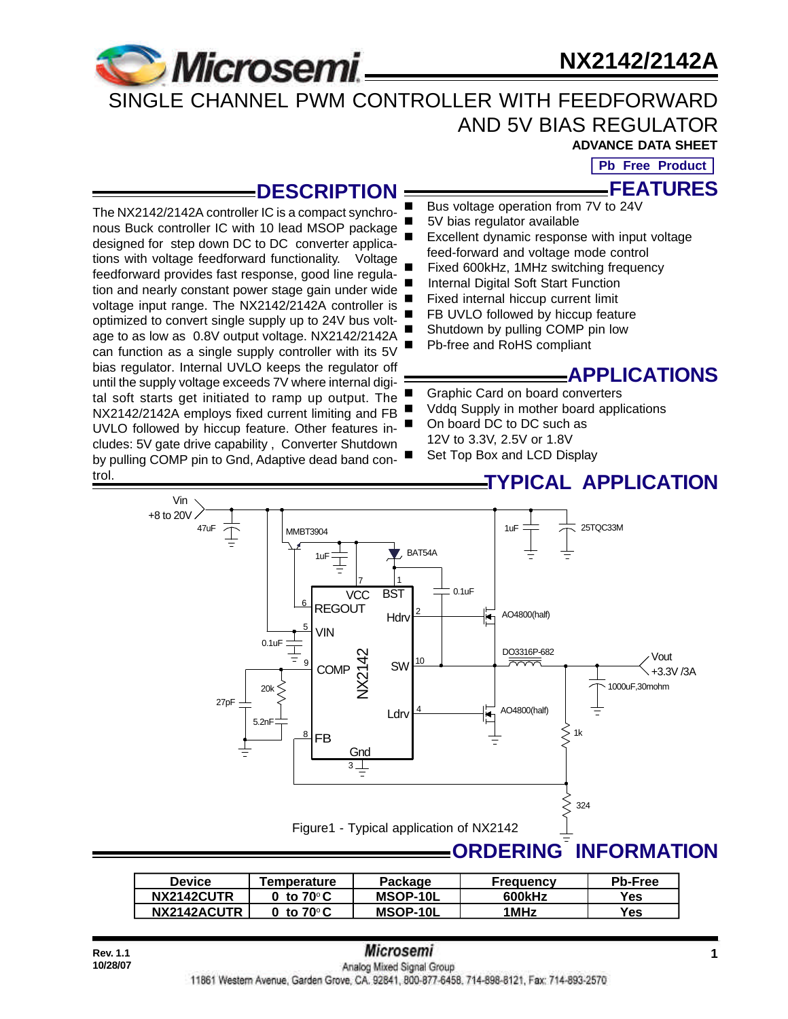# **Microsemi**

# **NX2142/2142A**

## SINGLE CHANNEL PWM CONTROLLER WITH FEEDFORWARD AND 5V BIAS REGULATOR **ADVANCE DATA SHEET**

**Pb Free Product**

**FEATURES**

### **DESCRIPTION**

The NX2142/2142A controller IC is a compact synchronous Buck controller IC with 10 lead MSOP package designed for step down DC to DC converter applications with voltage feedforward functionality. Voltage feedforward provides fast response, good line regulation and nearly constant power stage gain under wide voltage input range. The NX2142/2142A controller is optimized to convert single supply up to 24V bus voltage to as low as 0.8V output voltage. NX2142/2142A can function as a single supply controller with its 5V bias regulator. Internal UVLO keeps the regulator off until the supply voltage exceeds 7V where internal digital soft starts get initiated to ramp up output. The NX2142/2142A employs fixed current limiting and FB UVLO followed by hiccup feature. Other features includes: 5V gate drive capability , Converter Shutdown by pulling COMP pin to Gnd, Adaptive dead band control.

Vin

- Bus voltage operation from 7V to 24V
- 5V bias regulator available
- Excellent dynamic response with input voltage feed-forward and voltage mode control
- Fixed 600kHz, 1MHz switching frequency
- Internal Digital Soft Start Function
- Fixed internal hiccup current limit
- FB UVLO followed by hiccup feature
- Shutdown by pulling COMP pin low
- Pb-free and RoHS compliant

## **APPLICATIONS**

- Graphic Card on board converters
- Vddq Supply in mother board applications
- On board DC to DC such as
- 12V to 3.3V, 2.5V or 1.8V
- Set Top Box and LCD Display

## **TYPICAL APPLICATION**



| <b>Device</b> | Temperature        | Package  | Frequency | <b>Pb-Free</b> |
|---------------|--------------------|----------|-----------|----------------|
| NX2142CUTR    | to 70°C            | MSOP-10L | 600kHz    | Yes            |
| NX2142ACUTR   | to 70 $^{\circ}$ C | MSOP-10L | 1MHz      | Yes            |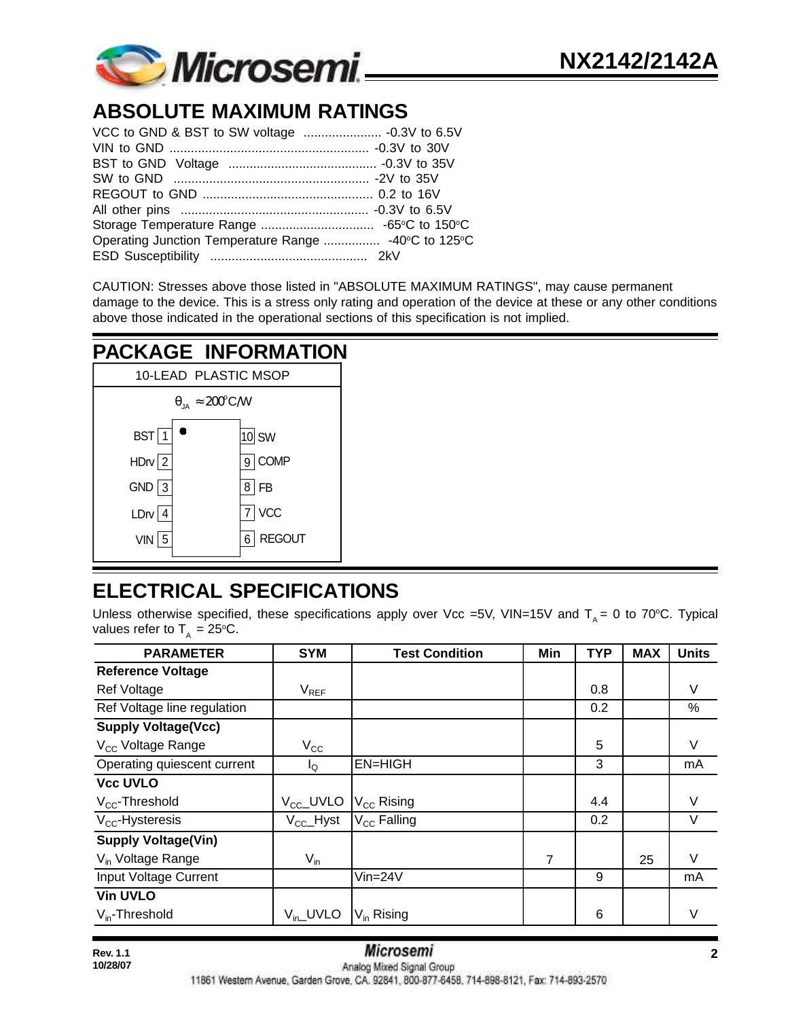

# **ABSOLUTE MAXIMUM RATINGS**

| Operating Junction Temperature Range  -40°C to 125°C |  |
|------------------------------------------------------|--|
|                                                      |  |

CAUTION: Stresses above those listed in "ABSOLUTE MAXIMUM RATINGS", may cause permanent damage to the device. This is a stress only rating and operation of the device at these or any other conditions above those indicated in the operational sections of this specification is not implied.



# **ELECTRICAL SPECIFICATIONS**

Unless otherwise specified, these specifications apply over Vcc =5V, VIN=15V and  $T_A = 0$  to 70°C. Typical values refer to  $T<sub>A</sub> = 25$ °C.

| <b>PARAMETER</b>              | <b>SYM</b>            | <b>Test Condition</b>  | Min | <b>TYP</b> | <b>MAX</b> | <b>Units</b> |
|-------------------------------|-----------------------|------------------------|-----|------------|------------|--------------|
| <b>Reference Voltage</b>      |                       |                        |     |            |            |              |
| Ref Voltage                   | $V_{REF}$             |                        |     | 0.8        |            | V            |
| Ref Voltage line regulation   |                       |                        |     | 0.2        |            | %            |
| <b>Supply Voltage(Vcc)</b>    |                       |                        |     |            |            |              |
| V <sub>cc</sub> Voltage Range | $V_{\rm CC}$          |                        |     | 5          |            | V            |
| Operating quiescent current   | $I_{\mathsf{Q}}$      | <b>EN=HIGH</b>         |     | 3          |            | mA           |
| <b>Vcc UVLO</b>               |                       |                        |     |            |            |              |
| $V_{CC}$ -Threshold           | $V_{\text{CC}}$ _UVLO | $V_{\rm CC}$ Rising    |     | 4.4        |            | V            |
| $V_{CC}$ -Hysteresis          | $V_{\text{CC}}$ -Hyst | $V_{CC}$ Falling       |     | 0.2        |            | V            |
| <b>Supply Voltage(Vin)</b>    |                       |                        |     |            |            |              |
| V <sub>in</sub> Voltage Range | $V_{in}$              |                        | 7   |            | 25         | V            |
| Input Voltage Current         |                       | $Vin=24V$              |     | 9          |            | mA           |
| <b>Vin UVLO</b>               |                       |                        |     |            |            |              |
| $V_{in}$ -Threshold           | $V_{in}$ _UVLO        | V <sub>in</sub> Rising |     | 6          |            | V            |

11861 Western Avenue, Garden Grove, CA. 92841, 800-877-6458, 714-898-8121, Fax: 714-893-2570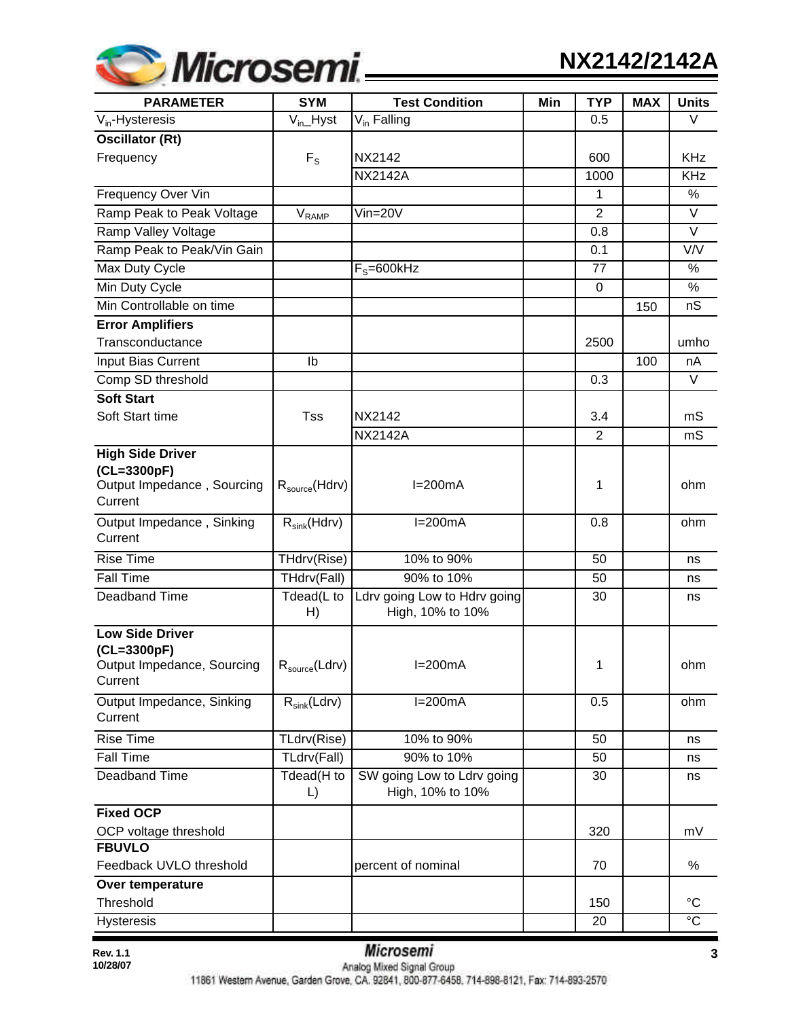

| <b>PARAMETER</b>                                                                | <b>SYM</b>                   | <b>Test Condition</b>                            | Min | <b>TYP</b>     | <b>MAX</b> | <b>Units</b>    |
|---------------------------------------------------------------------------------|------------------------------|--------------------------------------------------|-----|----------------|------------|-----------------|
| $V_{in}$ -Hysteresis                                                            | $V_{in}$ Hyst                | $V_{in}$ Falling                                 |     | 0.5            |            | V               |
| <b>Oscillator (Rt)</b>                                                          |                              |                                                  |     |                |            |                 |
| Frequency                                                                       | $F_S$                        | <b>NX2142</b>                                    |     | 600            |            | <b>KHz</b>      |
|                                                                                 |                              | <b>NX2142A</b>                                   |     | 1000           |            | <b>KHz</b>      |
| Frequency Over Vin                                                              |                              |                                                  |     | $\mathbf{1}$   |            | %               |
| Ramp Peak to Peak Voltage                                                       | $\mathsf{V}_{\mathsf{RAMP}}$ | $Vin=20V$                                        |     | $\overline{2}$ |            | $\vee$          |
| Ramp Valley Voltage                                                             |                              |                                                  |     | 0.8            |            | $\vee$          |
| Ramp Peak to Peak/Vin Gain                                                      |                              |                                                  |     | 0.1            |            | V/V             |
| Max Duty Cycle                                                                  |                              | $F_s = 600$ kHz                                  |     | 77             |            | %               |
| Min Duty Cycle                                                                  |                              |                                                  |     | 0              |            | $\%$            |
| Min Controllable on time                                                        |                              |                                                  |     |                | 150        | nS              |
| <b>Error Amplifiers</b>                                                         |                              |                                                  |     |                |            |                 |
| Transconductance                                                                |                              |                                                  |     | 2500           |            | umho            |
| Input Bias Current                                                              | Ib                           |                                                  |     |                | 100        | nA              |
| Comp SD threshold                                                               |                              |                                                  |     | 0.3            |            | $\vee$          |
| <b>Soft Start</b>                                                               |                              |                                                  |     |                |            |                 |
| Soft Start time                                                                 | Tss                          | <b>NX2142</b>                                    |     | 3.4            |            | mS              |
|                                                                                 |                              | <b>NX2142A</b>                                   |     | 2              |            | mS              |
| <b>High Side Driver</b><br>(CL=3300pF)<br>Output Impedance, Sourcing<br>Current | $R_{\text{source}}(Hdrv)$    | $I=200mA$                                        |     | 1              |            | ohm             |
| Output Impedance, Sinking<br>Current                                            | $R_{sink}(Hdrv)$             | $I=200mA$                                        |     | 0.8            |            | ohm             |
| <b>Rise Time</b>                                                                | THdrv(Rise)                  | 10% to 90%                                       |     | 50             |            | ns              |
| <b>Fall Time</b>                                                                | THdrv(Fall)                  | 90% to 10%                                       |     | 50             |            | ns              |
| Deadband Time                                                                   | Tdead(L to<br>H)             | Ldrv going Low to Hdrv going<br>High, 10% to 10% |     | 30             |            | ns              |
| <b>Low Side Driver</b><br>(CL=3300pF)<br>Output Impedance, Sourcing<br>Current  | $R_{\text{source}}(Ldrv)$    | $I=200mA$                                        |     | 1              |            | ohm             |
| Output Impedance, Sinking<br>Current                                            | $R_{sink}(Ldrv)$             | $I=200mA$                                        |     | 0.5            |            | ohm             |
| <b>Rise Time</b>                                                                | TLdrv(Rise)                  | 10% to 90%                                       |     | 50             |            | ns              |
| <b>Fall Time</b>                                                                | TLdrv(Fall)                  | 90% to 10%                                       |     | 50             |            | ns              |
| Deadband Time                                                                   | Tdead(H to<br>L)             | SW going Low to Ldrv going<br>High, 10% to 10%   |     | 30             |            | ns              |
| <b>Fixed OCP</b><br>OCP voltage threshold                                       |                              |                                                  |     | 320            |            | mV              |
| <b>FBUVLO</b><br>Feedback UVLO threshold                                        |                              | percent of nominal                               |     | 70             |            | $\%$            |
| Over temperature<br>Threshold                                                   |                              |                                                  |     | 150            |            | $\rm ^{\circ}C$ |
| <b>Hysteresis</b>                                                               |                              |                                                  |     | 20             |            | $\overline{c}$  |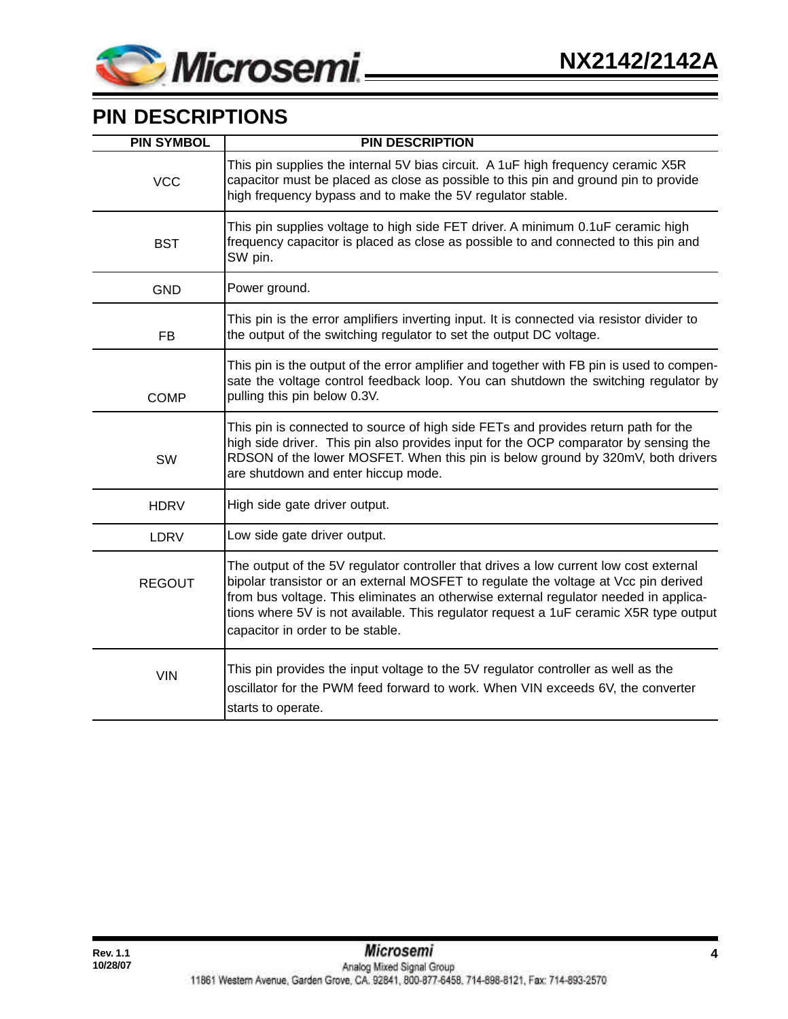

# **PIN DESCRIPTIONS**

| <b>PIN SYMBOL</b> | <b>PIN DESCRIPTION</b>                                                                                                                                                                                                                                                                                                                                                                            |
|-------------------|---------------------------------------------------------------------------------------------------------------------------------------------------------------------------------------------------------------------------------------------------------------------------------------------------------------------------------------------------------------------------------------------------|
| <b>VCC</b>        | This pin supplies the internal 5V bias circuit. A 1uF high frequency ceramic X5R<br>capacitor must be placed as close as possible to this pin and ground pin to provide<br>high frequency bypass and to make the 5V regulator stable.                                                                                                                                                             |
| <b>BST</b>        | This pin supplies voltage to high side FET driver. A minimum 0.1uF ceramic high<br>frequency capacitor is placed as close as possible to and connected to this pin and<br>SW pin.                                                                                                                                                                                                                 |
| <b>GND</b>        | Power ground.                                                                                                                                                                                                                                                                                                                                                                                     |
| <b>FB</b>         | This pin is the error amplifiers inverting input. It is connected via resistor divider to<br>the output of the switching regulator to set the output DC voltage.                                                                                                                                                                                                                                  |
| <b>COMP</b>       | This pin is the output of the error amplifier and together with FB pin is used to compen-<br>sate the voltage control feedback loop. You can shutdown the switching regulator by<br>pulling this pin below 0.3V.                                                                                                                                                                                  |
| SW                | This pin is connected to source of high side FETs and provides return path for the<br>high side driver. This pin also provides input for the OCP comparator by sensing the<br>RDSON of the lower MOSFET. When this pin is below ground by 320mV, both drivers<br>are shutdown and enter hiccup mode.                                                                                              |
| <b>HDRV</b>       | High side gate driver output.                                                                                                                                                                                                                                                                                                                                                                     |
| <b>LDRV</b>       | Low side gate driver output.                                                                                                                                                                                                                                                                                                                                                                      |
| <b>REGOUT</b>     | The output of the 5V regulator controller that drives a low current low cost external<br>bipolar transistor or an external MOSFET to regulate the voltage at Vcc pin derived<br>from bus voltage. This eliminates an otherwise external regulator needed in applica-<br>tions where 5V is not available. This regulator request a 1uF ceramic X5R type output<br>capacitor in order to be stable. |
| <b>VIN</b>        | This pin provides the input voltage to the 5V regulator controller as well as the<br>oscillator for the PWM feed forward to work. When VIN exceeds 6V, the converter<br>starts to operate.                                                                                                                                                                                                        |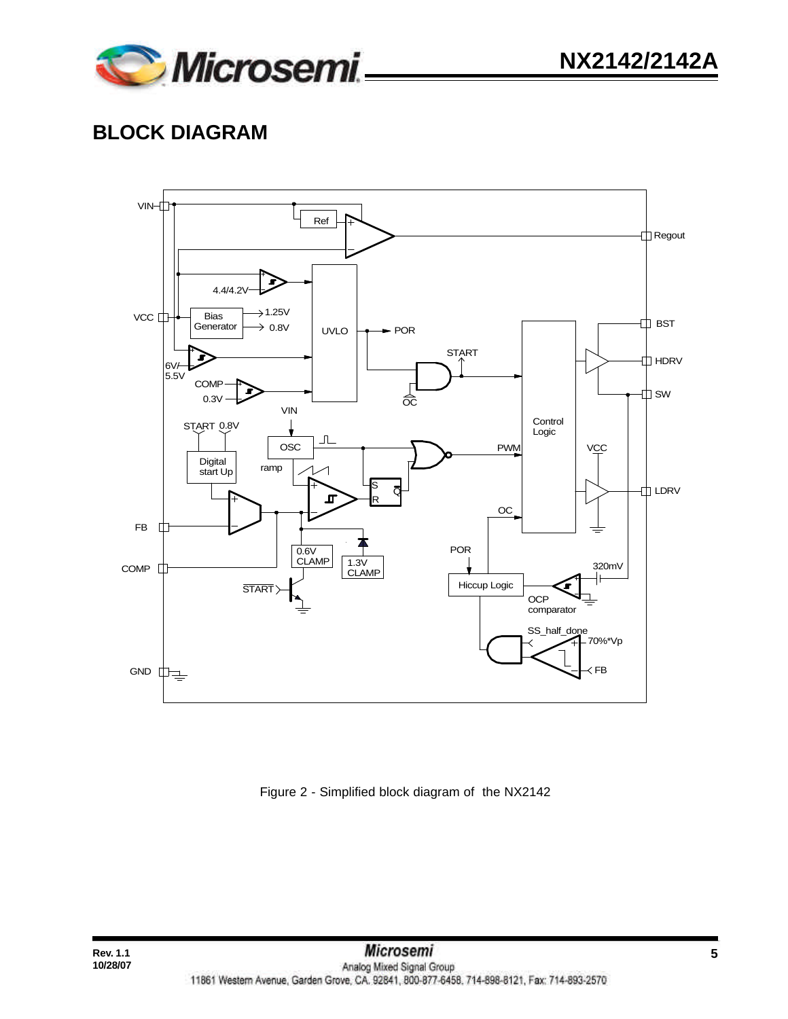

# **BLOCK DIAGRAM**



Figure 2 - Simplified block diagram of the NX2142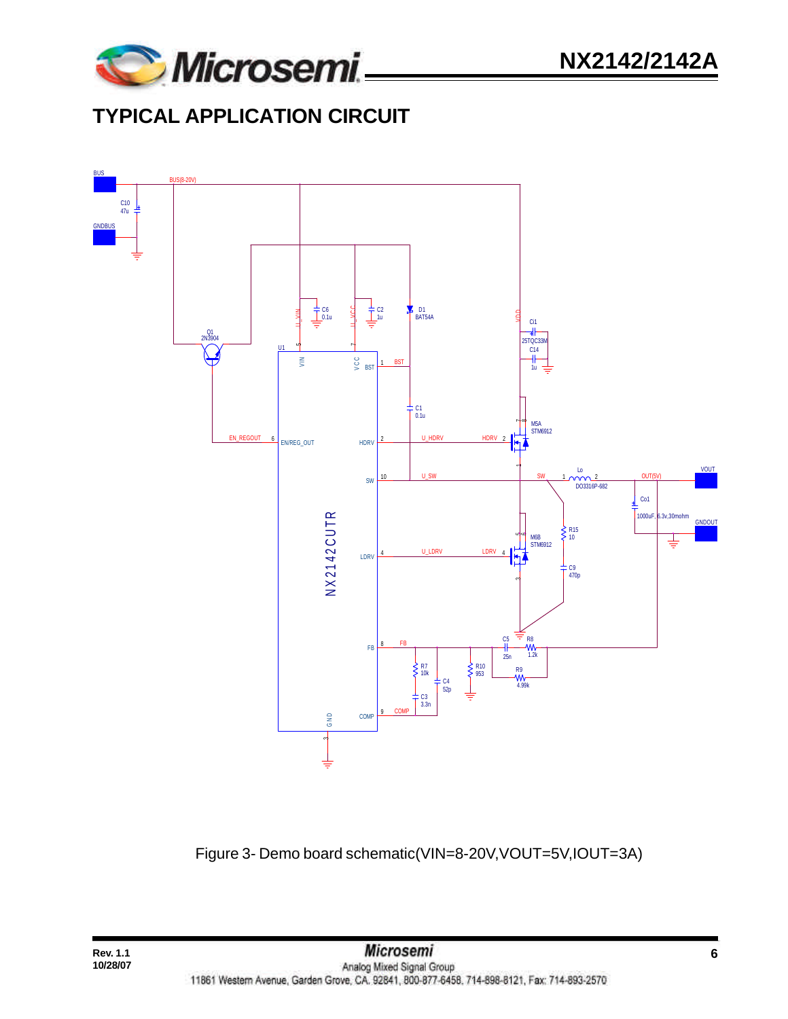

# **TYPICAL APPLICATION CIRCUIT**



Figure 3- Demo board schematic(VIN=8-20V,VOUT=5V,IOUT=3A)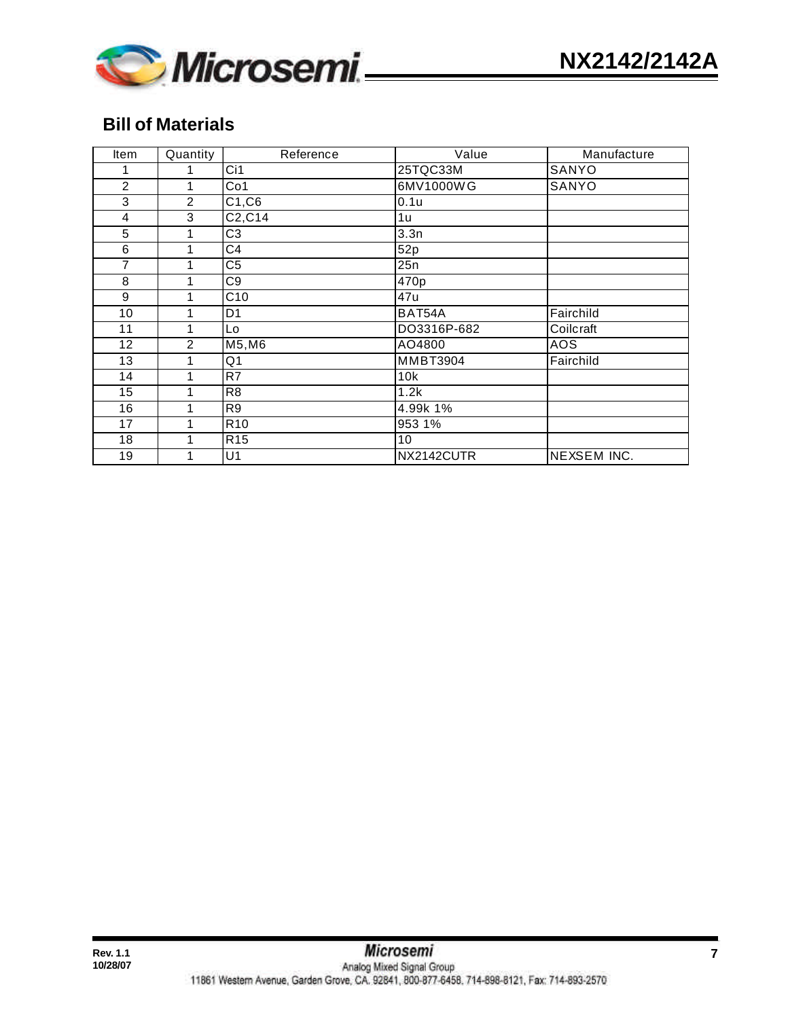

## **Bill of Materials**

| <b>Item</b>    | Quantity       | Reference       | Value           | Manufacture        |
|----------------|----------------|-----------------|-----------------|--------------------|
|                | 1              | Ci1             | 25TQC33M        | SANYO              |
| 2              | 1              | Co <sub>1</sub> | 6MV1000WG       | SANYO              |
| 3              | 2              | C1, C6          | 0.1u            |                    |
| $\overline{4}$ | 3              | C2, C14         | 1u              |                    |
| 5              | 1              | C <sub>3</sub>  | 3.3n            |                    |
| 6              | 1              | C4              | 52p             |                    |
| 7              | 1              | C <sub>5</sub>  | 25n             |                    |
| $\overline{8}$ | 1              | C <sub>9</sub>  | 470p            |                    |
| 9              | 1              | C10             | 47u             |                    |
| 10             | 1              | D <sub>1</sub>  | BAT54A          | Fairchild          |
| 11             | 1              | Lo              | DO3316P-682     | Coilcraft          |
| 12             | $\overline{2}$ | M5, M6          | AO4800          | AOS                |
| 13             | 1              | Q <sub>1</sub>  | <b>MMBT3904</b> | Fairchild          |
| 14             | 1              | R7              | 10k             |                    |
| 15             | 1              | R <sub>8</sub>  | 1.2k            |                    |
| 16             | 1              | R <sub>9</sub>  | 4.99k 1%        |                    |
| 17             | 1              | R <sub>10</sub> | 953 1%          |                    |
| 18             | 1              | R15             | 10              |                    |
| 19             | 1              | U1              | NX2142CUTR      | <b>NEXSEM INC.</b> |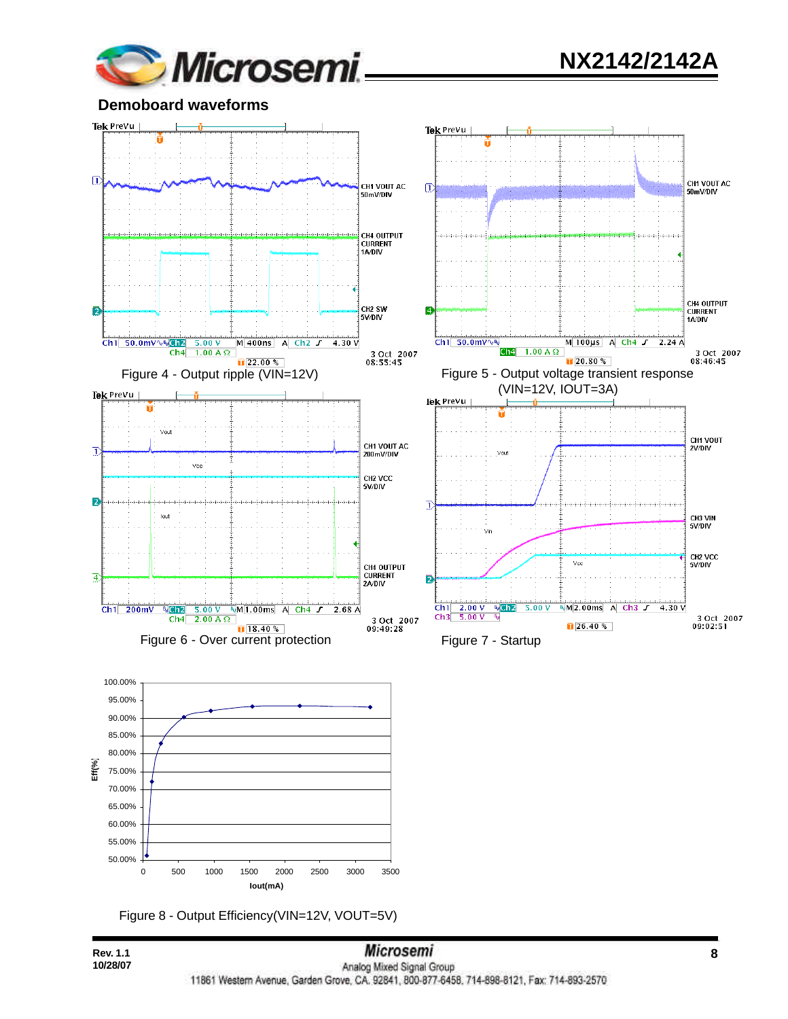

**Demoboard waveforms**



Figure 8 - Output Efficiency(VIN=12V, VOUT=5V)

**10/28/07**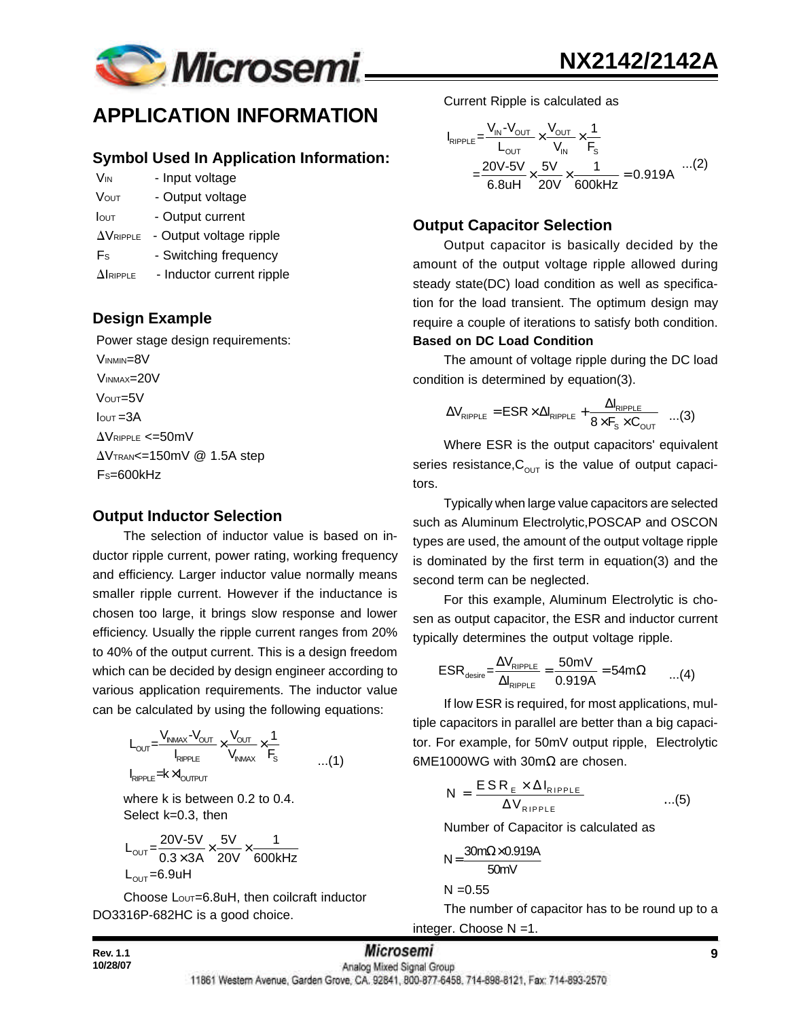

## **APPLICATION INFORMATION**

#### **Symbol Used In Application Information:**

- V<sub>IN</sub> Input voltage
- VOUT Output voltage
- Iout Output current
- $\Delta V_{RIPPLE}$  Output voltage ripple
- Fs Switching frequency
- $\Delta$ IRIPPLE Inductor current ripple

#### **Design Example**

 Power stage design requirements: VINMIN=8V VINMAX=20V Vout=5V  $I<sub>OUT</sub> = 3A$  $\Delta$ VRIPPLE <=50mV  $\Delta V$ TRAN<=150mV @ 1.5A step FS=600kHz

#### **Output Inductor Selection**

The selection of inductor value is based on inductor ripple current, power rating, working frequency and efficiency. Larger inductor value normally means smaller ripple current. However if the inductance is chosen too large, it brings slow response and lower efficiency. Usually the ripple current ranges from 20% to 40% of the output current. This is a design freedom which can be decided by design engineer according to various application requirements. The inductor value can be calculated by using the following equations:

$$
L_{\text{OUT}} = \frac{V_{INMAX} - V_{\text{OUT}}}{I_{RIPPLE}} \times \frac{V_{\text{OUT}}}{V_{INMAX}} \times \frac{1}{F_s}
$$
...(1)  

$$
I_{RIPPLE} = K \times I_{\text{OUTPUT}}
$$

where k is between 0.2 to 0.4. Select k=0.3, then

$$
L_{\text{OUT}} = \frac{20V-5V}{0.3 \times 3A} \times \frac{5V}{20V} \times \frac{1}{600kHz}
$$
  
L<sub>OUT</sub>=6.9uH

Choose Lout=6.8uH, then coilcraft inductor DO3316P-682HC is a good choice.

Current Ripple is calculated as

$$
I_{RIPPLE} = \frac{V_{IN} - V_{OUT}}{L_{OUT}} \times \frac{V_{OUT}}{V_{IN}} \times \frac{1}{F_s}
$$
  
= 
$$
\frac{20V - 5V}{6.8uH} \times \frac{5V}{20V} \times \frac{1}{600kHz} = 0.919A
$$
...(2)

#### **Output Capacitor Selection**

Output capacitor is basically decided by the amount of the output voltage ripple allowed during steady state(DC) load condition as well as specification for the load transient. The optimum design may require a couple of iterations to satisfy both condition. **Based on DC Load Condition**

The amount of voltage ripple during the DC load condition is determined by equation(3).

$$
\Delta V_{\text{RIPPLE}} = ESR \times \Delta I_{\text{RIPPLE}} + \frac{\Delta I_{\text{RIPPLE}}}{8 \times F_{\text{s}} \times C_{\text{OUT}}} \quad ...(3)
$$

Where ESR is the output capacitors' equivalent series resistance,  $C_{\text{OUT}}$  is the value of output capacitors.

Typically when large value capacitors are selected such as Aluminum Electrolytic,POSCAP and OSCON types are used, the amount of the output voltage ripple is dominated by the first term in equation(3) and the second term can be neglected.

For this example, Aluminum Electrolytic is chosen as output capacitor, the ESR and inductor current typically determines the output voltage ripple.

$$
ESR_{\text{desire}} = \frac{\Delta V_{\text{RIPPLE}}}{\Delta I_{\text{RIPPLE}}} = \frac{50 \text{mV}}{0.919 \text{A}} = 54 \text{m}\Omega \qquad ...(4)
$$

If low ESR is required, for most applications, multiple capacitors in parallel are better than a big capacitor. For example, for 50mV output ripple, Electrolytic  $6$ ME1000WG with 30m $\Omega$  are chosen.

$$
N = \frac{ESR_{E} \times \Delta I_{RIPPLE}}{\Delta V_{RIPPLE}} \qquad ...(5)
$$

Number of Capacitor is calculated as

$$
N = \frac{30m\Omega \times 0.919A}{50mV}
$$
  
N = 0.55

The number of capacitor has to be round up to a integer. Choose N =1.

**Rev. 1.1 B 1.1 B 1.1 B 1.1 B 1.1 B 1.1 B 1.1 B 1.1 B 1.1 B 1.1 B 1.1 B 1.1 B 1.1 B 1.1 B 1.1 B 1.1 B 1.1 B 1.1 B 1.1 B 1.1 B 1.1 B 1.1** 11861 Western Avenue, Garden Grove, CA. 92841, 800-877-6458, 714-898-8121, Fax: 714-893-2570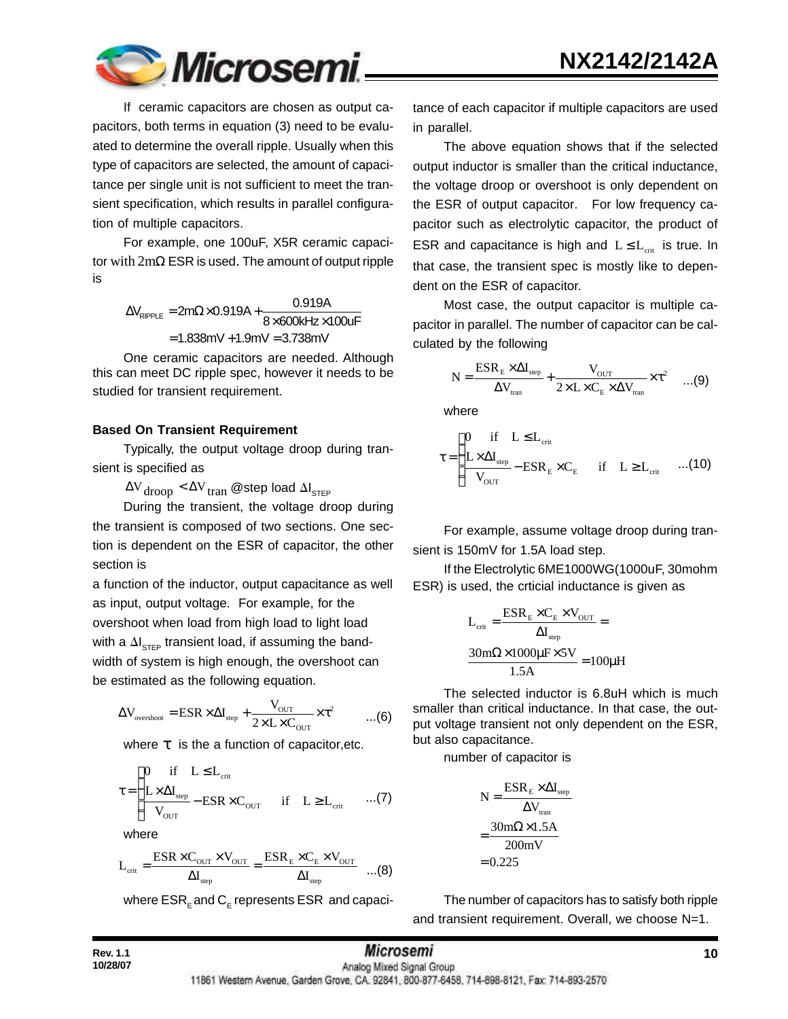

If ceramic capacitors are chosen as output capacitors, both terms in equation (3) need to be evaluated to determine the overall ripple. Usually when this type of capacitors are selected, the amount of capacitance per single unit is not sufficient to meet the transient specification, which results in parallel configuration of multiple capacitors.

For example, one 100uF, X5R ceramic capacitor with 2mΩ ESR is used. The amount of output ripple is

> $N_{\text{RIPPLE}} = 2\text{m}\Omega \times 0.919 \text{A} + \frac{0.919 \text{A}}{8 \times 600 \text{kHz} \times 100 \text{uF}}$  $= 1.838$ m $V + 1.9$ m $V = 3.738$ m $V$  $\Delta V_{\text{RIPPLE}} = 2 \text{m}\Omega \times 0.919 \text{A} + \frac{0.0137 \text{A}}{8 \times 600 \text{kHz}}$

One ceramic capacitors are needed. Although this can meet DC ripple spec, however it needs to be studied for transient requirement.

#### **Based On Transient Requirement**

Typically, the output voltage droop during transient is specified as

 $\Delta {\rm V}_{\rm drop}$   $<$   $\Delta {\rm V}_{\rm tran}$  @step load  $\Delta {\rm I}_{\rm STEP}$ 

During the transient, the voltage droop during the transient is composed of two sections. One section is dependent on the ESR of capacitor, the other section is

a function of the inductor, output capacitance as well as input, output voltage. For example, for the overshoot when load from high load to light load with a  $\Delta\bm{\mathsf{I}}_{\mathsf{STEP}}$  transient load, if assuming the bandwidth of system is high enough, the overshoot can be estimated as the following equation.

$$
\Delta V_{\text{overshoot}} = \text{ESR} \times \Delta I_{\text{step}} + \frac{V_{\text{OUT}}}{2 \times L \times C_{\text{OUT}}} \times \tau^2 \qquad \dots (6)
$$

where *t* is the a function of capacitor,etc.

$$
\tau = \begin{cases}\n0 & \text{if} \quad L \leq L_{\text{crit}} \\
\frac{L \times \Delta I_{\text{step}}}{V_{\text{OUT}}} - \text{ESR} \times C_{\text{OUT}} & \text{if} \quad L \geq L_{\text{crit}} \quad \dots (7)\n\end{cases}
$$

where

$$
L_{\rm crit} = \frac{\textrm{ESR} \times C_{\rm OUT} \times V_{\rm OUT}}{\Delta I_{\rm step}} = \frac{\textrm{ESR}_\mathrm{E} \times C_\mathrm{E} \times V_{\rm OUT}}{\Delta I_{\rm step}} \quad ...(8)
$$

where  $\mathsf{ESR}_\mathsf{E}$ and  $\mathsf{C}_\mathsf{E}$  represents  $\mathsf{ESR}\,$  and capaci-

tance of each capacitor if multiple capacitors are used in parallel.

The above equation shows that if the selected output inductor is smaller than the critical inductance, the voltage droop or overshoot is only dependent on the ESR of output capacitor. For low frequency capacitor such as electrolytic capacitor, the product of ESR and capacitance is high and  $L \leq L_{crit}$  is true. In that case, the transient spec is mostly like to dependent on the ESR of capacitor.

Most case, the output capacitor is multiple capacitor in parallel. The number of capacitor can be calculated by the following

$$
N = \frac{ESR_{E} \times \Delta I_{step}}{\Delta V_{tran}} + \frac{V_{OUT}}{2 \times L \times C_{E} \times \Delta V_{tran}} \times \tau^{2} \quad ...(9)
$$

where

$$
\tau = \begin{cases}\n0 & \text{if} \quad L \leq L_{\text{crit}} \\
\frac{L \times \Delta I_{\text{step}}}{V_{\text{OUT}}} - \text{ESR}_{\text{E}} \times C_{\text{E}} & \text{if} \quad L \geq L_{\text{crit}} \quad ...(10)\n\end{cases}
$$

For example, assume voltage droop during transient is 150mV for 1.5A load step.

If the Electrolytic 6ME1000WG(1000uF, 30mohm ESR) is used, the crticial inductance is given as

$$
L_{\text{crit}} = \frac{ESR_{\text{E}} \times C_{\text{E}} \times V_{\text{OUT}}}{\Delta I_{\text{step}}} =
$$

$$
\frac{30 \text{m}\Omega \times 1000 \mu \text{F} \times 5 \text{V}}{1.5 \text{A}} = 100 \mu \text{H}
$$

The selected inductor is 6.8uH which is much smaller than critical inductance. In that case, the output voltage transient not only dependent on the ESR, but also capacitance.

number of capacitor is

$$
N = \frac{ESR_E \times \Delta I_{\text{step}}}{\Delta V_{\text{tran}}}
$$

$$
= \frac{30m\Omega \times 1.5A}{200mV}
$$

$$
= 0.225
$$

The number of capacitors has to satisfy both ripple and transient requirement. Overall, we choose N=1.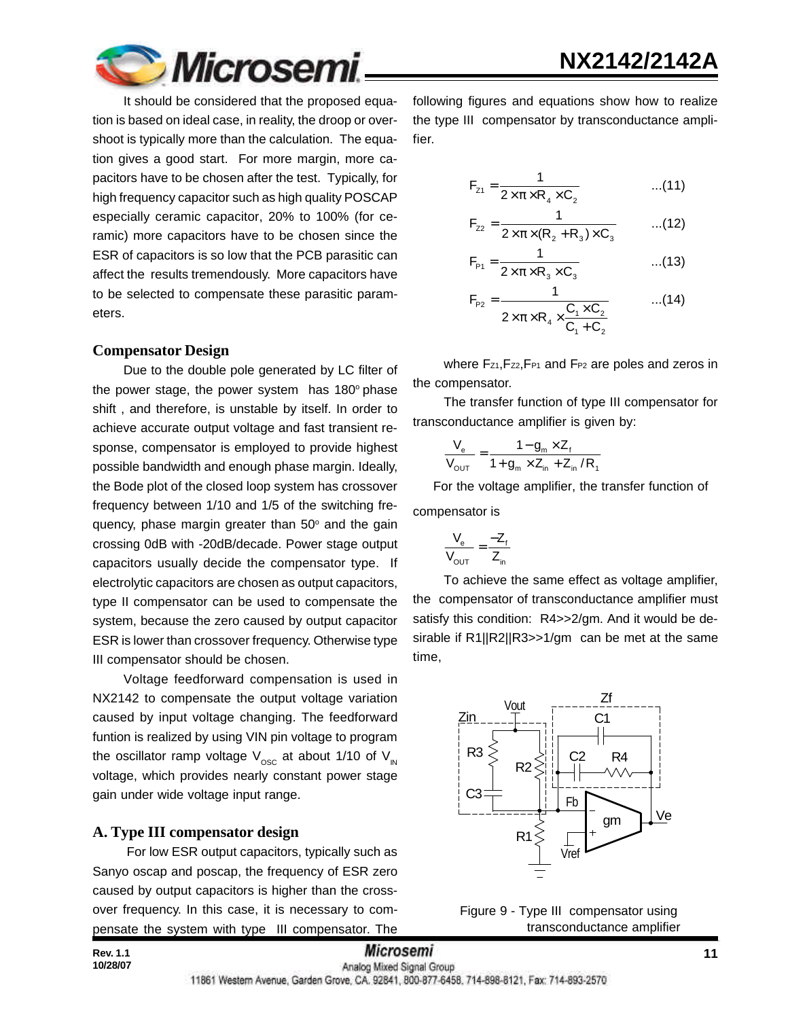

It should be considered that the proposed equation is based on ideal case, in reality, the droop or overshoot is typically more than the calculation. The equation gives a good start. For more margin, more capacitors have to be chosen after the test. Typically, for high frequency capacitor such as high quality POSCAP especially ceramic capacitor, 20% to 100% (for ceramic) more capacitors have to be chosen since the ESR of capacitors is so low that the PCB parasitic can affect the results tremendously. More capacitors have to be selected to compensate these parasitic parameters.

#### **Compensator Design**

Due to the double pole generated by LC filter of the power stage, the power system has  $180^\circ$  phase shift , and therefore, is unstable by itself. In order to achieve accurate output voltage and fast transient response, compensator is employed to provide highest possible bandwidth and enough phase margin. Ideally, the Bode plot of the closed loop system has crossover frequency between 1/10 and 1/5 of the switching frequency, phase margin greater than 50° and the gain crossing 0dB with -20dB/decade. Power stage output capacitors usually decide the compensator type. If electrolytic capacitors are chosen as output capacitors, type II compensator can be used to compensate the system, because the zero caused by output capacitor ESR is lower than crossover frequency. Otherwise type III compensator should be chosen.

Voltage feedforward compensation is used in NX2142 to compensate the output voltage variation caused by input voltage changing. The feedforward funtion is realized by using VIN pin voltage to program the oscillator ramp voltage  $V_{\text{osc}}$  at about 1/10 of  $V_{\text{in}}$ voltage, which provides nearly constant power stage gain under wide voltage input range.

#### **A. Type III compensator design**

 For low ESR output capacitors, typically such as Sanyo oscap and poscap, the frequency of ESR zero caused by output capacitors is higher than the crossover frequency. In this case, it is necessary to compensate the system with type III compensator. The following figures and equations show how to realize the type III compensator by transconductance amplifier.

$$
F_{z1} = \frac{1}{2 \times \pi \times R_4 \times C_2}
$$
...(11)

$$
F_{z2} = \frac{1}{2 \times \pi \times (R_2 + R_3) \times C_3}
$$
...(12)

$$
F_{p_1} = \frac{1}{2 \times \pi \times R_3 \times C_3}
$$
...(13)

$$
F_{p_2} = \frac{1}{2 \times \pi \times R_4 \times \frac{C_1 \times C_2}{C_1 + C_2}}
$$
...(14)

where Fz1, Fz2, FP1 and FP2 are poles and zeros in the compensator.

The transfer function of type III compensator for transconductance amplifier is given by:

$$
\frac{V_{\text{e}}}{V_{\text{OUT}}} = \frac{1 - g_{\text{m}} \times Z_{\text{f}}}{1 + g_{\text{m}} \times Z_{\text{in}} + Z_{\text{in}} / R_{\text{f}}}
$$

 For the voltage amplifier, the transfer function of compensator is

$$
\frac{V_e}{V_{\text{OUT}}} = \frac{-Z_f}{Z_{\text{in}}}
$$

To achieve the same effect as voltage amplifier, the compensator of transconductance amplifier must satisfy this condition: R4>>2/gm. And it would be desirable if R1||R2||R3>>1/gm can be met at the same time,



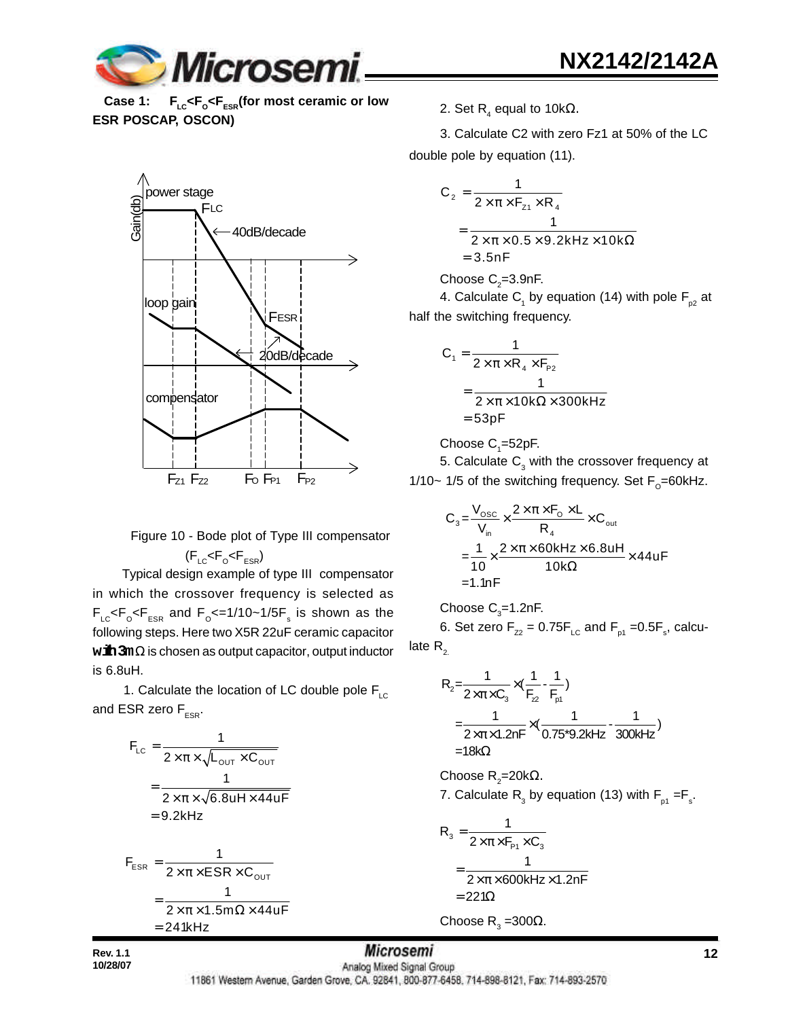

Case 1: F<sub>LC</sub><F<sub>o</sub><F<sub>ESR</sub>(for most ceramic or low **ESR POSCAP, OSCON)**



Figure 10 - Bode plot of Type III compensator 
$$
(F_{\rm LC} < F_{\rm o} < F_{\rm ESR})
$$

 Typical design example of type III compensator in which the crossover frequency is selected as  $\mathsf{F}_\mathsf{LC} \mathsf{<} \mathsf{F}_\mathsf{o} \mathsf{<} \mathsf{F}_\mathsf{ESR}$  and  $\mathsf{F}_\mathsf{o} \mathsf{<} =$  1/10~1/5 $\mathsf{F}_\mathsf{s}$  is shown as the following steps. Here two X5R 22uF ceramic capacitor **with 3m**Ω is chosen as output capacitor, output inductor is 6.8uH.

1. Calculate the location of LC double pole  $F_{\text{LC}}$ and ESR zero  $F_{ESR}$ .

$$
F_{LC} = \frac{1}{2 \times \pi \times \sqrt{L_{OUT} \times C_{OUT}}}
$$
  
= 
$$
\frac{1}{2 \times \pi \times \sqrt{6.8uH \times 44uF}}
$$
  
= 9.2kHz  

$$
F_{ESR} = \frac{1}{2 \times \pi \times ESR \times C_{OUT}}
$$
  
= 
$$
\frac{1}{2 \times \pi \times 1.5m\Omega \times 44uF}
$$
  
= 241kHz

2. Set R<sub>4</sub> equal to 10kΩ.

3. Calculate C2 with zero Fz1 at 50% of the LC double pole by equation (11).

$$
C_2 = \frac{1}{2 \times \pi \times F_{z1} \times R_4}
$$
  
= 
$$
\frac{1}{2 \times \pi \times 0.5 \times 9.2 \text{kHz} \times 10 \text{k}\Omega}
$$
  
= 3.5nF

Choose  $\textsf{C}_\textsf{2}^{\textsf{}}$ =3.9nF.

4. Calculate  $\mathsf{C}_1$  by equation (14) with pole  $\mathsf{F}_{_{\sf{p2}}}$  at half the switching frequency.

$$
C_1 = \frac{1}{2 \times \pi \times R_4 \times F_{p_2}}
$$
  
= 
$$
\frac{1}{2 \times \pi \times 10k\Omega \times 300kHz}
$$
  
= 53pF

Choose  $\mathsf{C}_\text{\tiny{1}}$ =52pF.

5. Calculate  $\mathsf{C}_{_{\!3}}$  with the crossover frequency at 1/10~ 1/5 of the switching frequency. Set  $F_{\rm o}$ =60kHz.

$$
C_3 = \frac{V_{\text{osc}}}{V_{\text{in}}} \times \frac{2 \times \pi \times F_0 \times L}{R_4} \times C_{\text{out}}
$$
  
=  $\frac{1}{10} \times \frac{2 \times \pi \times 60 \text{kHz} \times 6.8 \text{uH}}{10 \text{k}\Omega} \times 44 \text{uF}$   
= 1.1nF

Choose  $C_{3}$ =1.2nF. 6. Set zero  $F_{zz}$  = 0.75 $F_{LC}$  and  $F_{p1}$  =0.5 $F_{s}$ , calculate  $R<sub>2</sub>$ 

> $2^{\sim}$ 2× $\pi$ × $C_3$ <sup>^</sup>'F<sub>2</sub> F<sub>p1</sub>  $R_2 = \frac{1}{2 \times \pi \times C_3} \times (\frac{1}{F_{72}} - \frac{1}{F_{61}})$  $=\frac{1}{2\times\pi\times1.2$ nF $\times$ ( $\frac{1}{0.75}$ \*9.2kHz $\cdot$  300kHz)  $=18$ kΩ  $\frac{1}{\times \pi \times C_{3}} \times$

Choose R<sub>2</sub>=20kΩ. 7. Calculate  $R_{\text{3}}$  by equation (13) with  $F_{\text{p1}} = F_{\text{s}}$ .

$$
R_3 = \frac{1}{2 \times \pi \times F_{P_1} \times C_3}
$$
  
= 
$$
\frac{1}{2 \times \pi \times 600 \text{kHz} \times 1.2 \text{nF}}
$$
  
= 221 $\Omega$ 

Choose R<sub>3</sub>=300Ω.

**10/28/07**

**Rev. 1.1 12 12** *MICrosemI* **12** *MICROSEMI* **12** 

11861 Western Avenue, Garden Grove, CA. 92841, 800-877-6458, 714-898-8121, Fax: 714-893-2570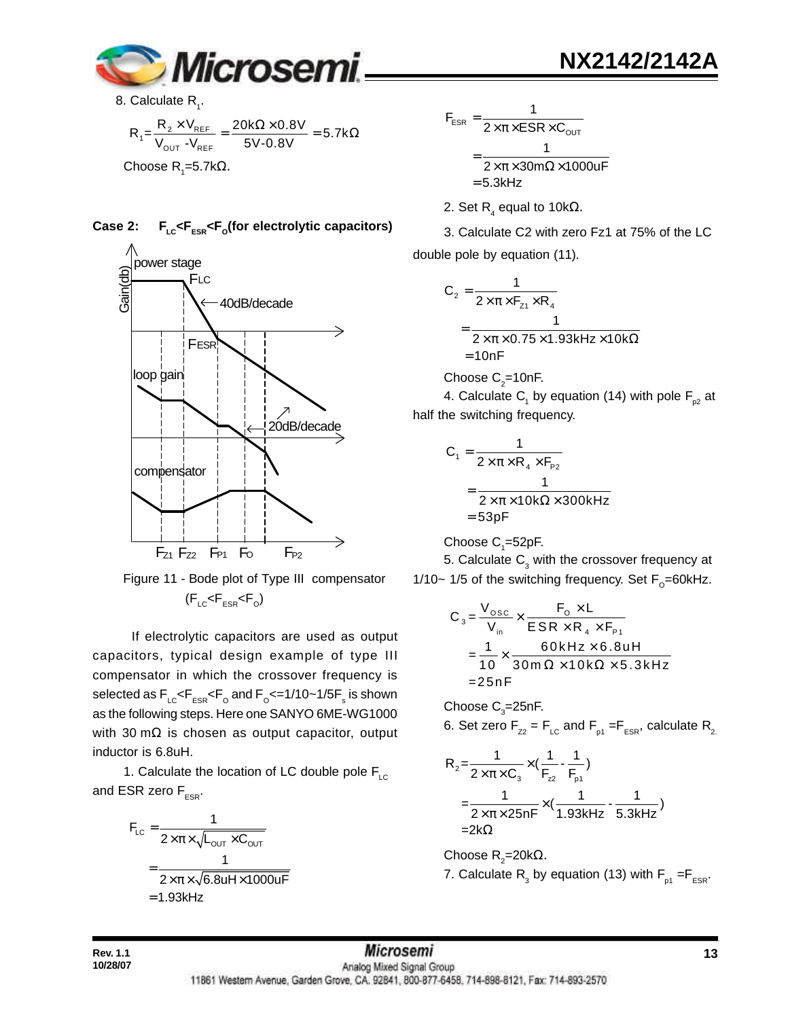

8. Calculate  $R_{1}$ .

$$
R_1 = \frac{R_2 \times V_{REF}}{V_{OUT} - V_{REF}} = \frac{20k\Omega \times 0.8V}{5V - 0.8V} = 5.7k\Omega
$$
  
Choose R<sub>1</sub>=5.7k $\Omega$ .

**Case 2: FLC<FESR<F<sup>O</sup> (for electrolytic capacitors)**



 Figure 11 - Bode plot of Type III compensator  $(\mathsf{F}_{\texttt{LC}}\!\!<\!\!\mathsf{F}_{\texttt{ESR}}\!\!<\!\!\mathsf{F}_{\texttt{O}})$ 

 If electrolytic capacitors are used as output capacitors, typical design example of type III compensator in which the crossover frequency is selected as  $\mathsf{F_{\scriptscriptstyle{LC}}} \mathsf{<} \mathsf{F_{\scriptscriptstyle{ESR}}} \mathsf{<} \mathsf{F_{\scriptscriptstyle{O}}}$  and  $\mathsf{F_{\scriptscriptstyle{O}}} \mathsf{<} \mathsf{=} 1/10 \mathsf{~} \mathsf{~} 1/5 \mathsf{F_{\scriptscriptstyle{S}}^{\scriptscriptstyle{S}}}$  is shown as the following steps. Here one SANYO 6ME-WG1000 with 30 mΩ is chosen as output capacitor, output inductor is 6.8uH.

1. Calculate the location of LC double pole  $F_{\text{LC}}$ and ESR zero  $F_{ESR}$ .

$$
F_{LC} = \frac{1}{2 \times \pi \times \sqrt{L_{OUT} \times C_{OUT}}}
$$

$$
= \frac{1}{2 \times \pi \times \sqrt{6.8uH \times 1000uF}}
$$

$$
= 1.93kHz
$$

**NX2142/2142A**

$$
F_{ESR} = \frac{1}{2 \times \pi \times ESR \times C_{OUT}}
$$

$$
= \frac{1}{2 \times \pi \times 30 \text{ m}\Omega \times 1000 \text{ uF}}
$$

$$
= 5.3 \text{kHz}
$$

2. Set R $_{\textrm{\tiny{4}}}$  equal to 10k $\Omega$ .

3. Calculate C2 with zero Fz1 at 75% of the LC double pole by equation (11).

$$
C_2 = \frac{1}{2 \times \pi \times F_{z_1} \times R_4}
$$
  
= 
$$
\frac{1}{2 \times \pi \times 0.75 \times 1.93 \text{kHz} \times 10 \text{k}\Omega}
$$
  
= 10nF

Choose 
$$
C_2=10nF
$$
.

4. Calculate  $\mathsf{C}_\mathsf{1}$  by equation (14) with pole  $\mathsf{F}_{\mathsf{p2}}$  at half the switching frequency.

$$
C_1 = \frac{1}{2 \times \pi \times R_4 \times F_{P2}}
$$
  
= 
$$
\frac{1}{2 \times \pi \times 10k\Omega \times 300kHz}
$$
  
= 53pF

Choose  $\mathsf{C}_\text{\tiny{1}}$ =52pF.

5. Calculate  $\mathsf{C}_{_{\!3}}$  with the crossover frequency at 1/10~ 1/5 of the switching frequency. Set  $F_{\rm o}$ =60kHz.

$$
C_3 = \frac{V_{\text{osc}}}{V_{\text{in}}} \times \frac{F_0 \times L}{ESR \times R_4 \times F_{\text{P1}}}
$$
  
=  $\frac{1}{10} \times \frac{60 \text{kHz} \times 6.8 \text{uH}}{30 \text{m} \Omega \times 10 \text{k} \Omega \times 5.3 \text{kHz}}$   
= 25nF

Choose  $\text{C}_\text{3}$ =25nF. 6. Set zero  $F_{zz} = F_{LC}$  and  $F_{p1} = F_{ESR}$ , calculate  $R_{2}$ .

$$
R_{2} = \frac{1}{2 \times \pi \times C_{3}} \times (\frac{1}{F_{22}} - \frac{1}{F_{p1}})
$$
  
=  $\frac{1}{2 \times \pi \times 25nF} \times (\frac{1}{1.93kHz} - \frac{1}{5.3kHz})$   
=  $2k\Omega$ 

Choose R<sub>2</sub>=20kΩ.

7. Calculate  $\mathsf{R}_{_{\mathrm{3}}}$  by equation (13) with  $\mathsf{F}_{_{\mathsf{p1}}}$  = $\mathsf{F}_{_{\mathsf{ESR}}}$ .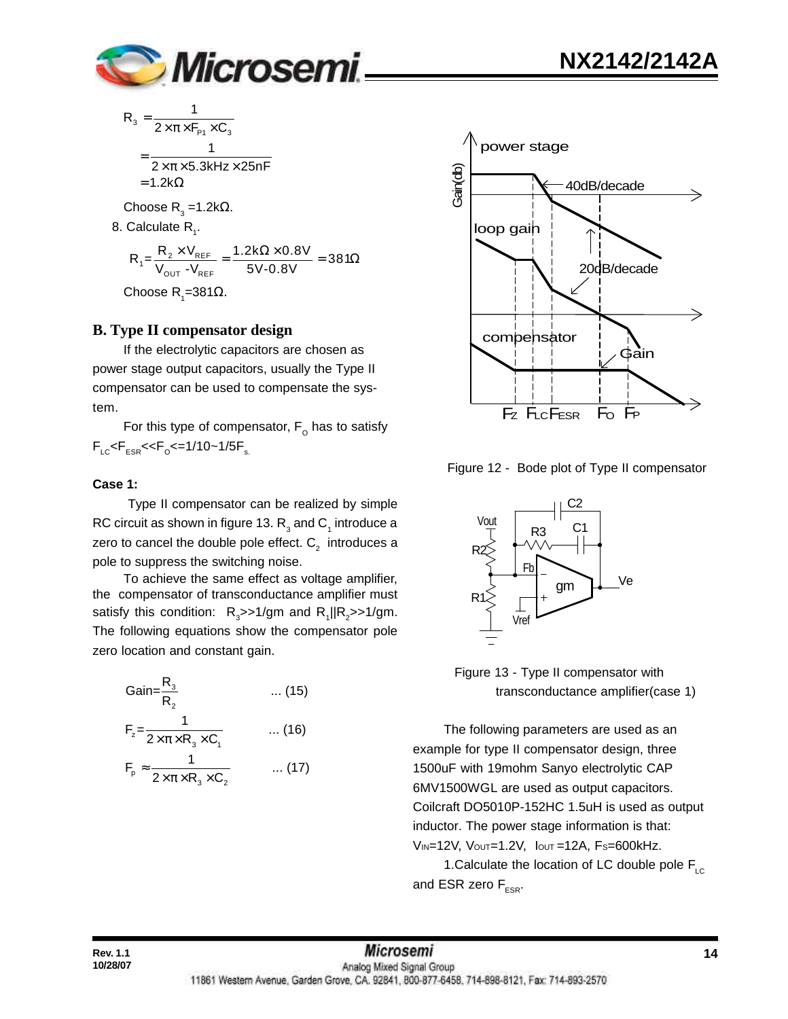

$$
R_{3} = \frac{1}{2 \times \pi \times F_{P1} \times C_{3}}
$$
  
= 
$$
\frac{1}{2 \times \pi \times 5.3 \text{kHz} \times 25 \text{nF}}
$$
  
= 1.2kΩ  
Choose R<sub>3</sub> = 1.2kΩ.

8. Calculate  $R_{1}$ .

$$
R_{1} = \frac{R_{2} \times V_{REF}}{V_{OUT} - V_{REF}} = \frac{1.2k\Omega \times 0.8V}{5V - 0.8V} = 381\Omega
$$

Choose R<sub>1</sub>=381Ω.

#### **B. Type II compensator design**

If the electrolytic capacitors are chosen as power stage output capacitors, usually the Type II compensator can be used to compensate the system.

For this type of compensator,  $\mathsf{F}_\mathsf{O}$  has to satisfy  $\mathsf{F}_{\text{\tiny{LC}}}$ < $\mathsf{F}_{\text{\tiny{ESR}}}$ << $\mathsf{F}_{\text{\tiny{O}}}$ <=1/10~1/5 $\mathsf{F}_{\text{\tiny{s.}}}$ 

#### **Case 1:**

 Type II compensator can be realized by simple RC circuit as shown in figure 13.  $\mathsf{R}_{_3}$  and  $\mathsf{C}_{_1}$  introduce a zero to cancel the double pole effect.  $\textsf{C}_2^{\phantom{\dag}}$  introduces a pole to suppress the switching noise.

To achieve the same effect as voltage amplifier, the compensator of transconductance amplifier must satisfy this condition:  $R_{3}$ >>1/gm and  $R_{1}$ || $R_{2}$ >>1/gm. The following equations show the compensator pole zero location and constant gain.

$$
Gain = \frac{R_3}{R_2} \qquad \qquad \dots (15)
$$
\n
$$
F_z = \frac{1}{2 \times \pi \times R_3 \times C_1} \qquad \qquad \dots (16)
$$
\n
$$
F_p \approx \frac{1}{2 \times \pi \times R_3 \times C_2} \qquad \qquad \dots (17)
$$



Figure 12 - Bode plot of Type II compensator



 Figure 13 - Type II compensator with transconductance amplifier(case 1)

The following parameters are used as an example for type II compensator design, three 1500uF with 19mohm Sanyo electrolytic CAP 6MV1500WGL are used as output capacitors. Coilcraft DO5010P-152HC 1.5uH is used as output inductor. The power stage information is that: VIN=12V, VOUT=1.2V, IOUT =12A, FS=600kHz.

1. Calculate the location of LC double pole  $F_{\text{LC}}$ and ESR zero  $F_{ESR}$ .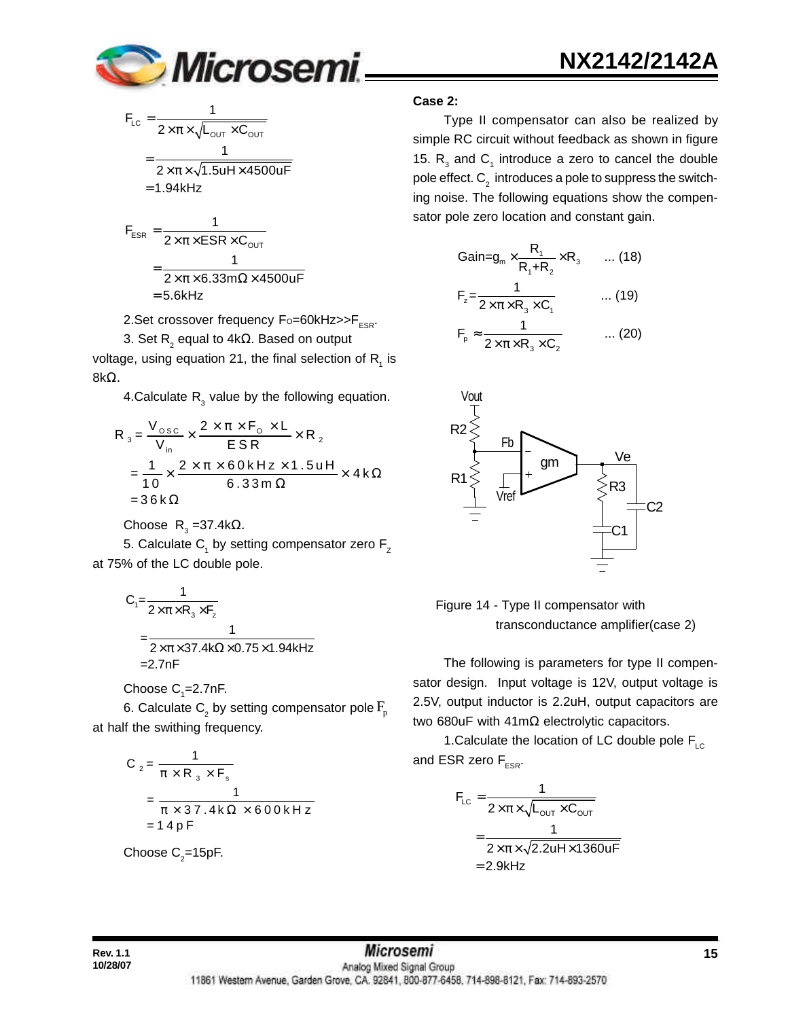

 $\dots$  (19)

$$
F_{LC} = \frac{1}{2 \times \pi \times \sqrt{L_{OUT} \times C_{OUT}}}
$$
  
= 
$$
\frac{1}{2 \times \pi \times \sqrt{1.5 \text{uH} \times 4500 \text{uF}}}
$$
  
= 1.94kHz  

$$
F_{ESR} = \frac{1}{2 \times \pi \times ESR \times C_{OUT}}
$$

$$
2 \times \pi \times 6.33 \text{ m}\Omega \times 4500 \text{ uF}
$$
  
= 
$$
\frac{1}{2 \times \pi \times 6.33 \text{ m}\Omega \times 4500 \text{ uF}}
$$
  
= 5.6kHz

2. Set crossover frequency  $F_0 = 60$ kHz $>>F_{ESR}$ .

3. Set R $_{_2}$  equal to 4k $\Omega$ . Based on output voltage, using equation 21, the final selection of  $\mathsf{R}^{\vphantom{\dagger}}_1$  is 8kΩ.

4. Calculate  $R_3$  value by the following equation.

$$
R_3 = \frac{V_{\text{osc}}}{V_{\text{in}}} \times \frac{2 \times \pi \times F_0 \times L}{ESR} \times R_2
$$
  
=  $\frac{1}{10} \times \frac{2 \times \pi \times 60 \text{ kHz} \times 1.5 \text{ uH}}{6.33 \text{ m}\,\Omega} \times 4 \text{ k}\,\Omega$   
=  $36 \text{ k}\,\Omega$ 

Choose R<sub>3</sub>=37.4kΩ.

5. Calculate  $\mathsf{C}_\mathsf{1}$  by setting compensator zero  $\mathsf{F}_\mathsf{Z}$ at 75% of the LC double pole.

$$
C_1 = \frac{1}{2 \times \pi \times R_3 \times F_z}
$$
  
= 
$$
\frac{1}{2 \times \pi \times 37.4 \times \Omega \times 0.75 \times 1.94 \times Hz}
$$
  
= 2.7nF

Choose  $C_{1}$ =2.7nF.

6. Calculate  $\mathsf{C}_\textsf{2}$  by setting compensator pole  $\mathrm{F}_{\textsf{p}}$ at half the swithing frequency.

$$
C_2 = \frac{1}{\pi \times R_3 \times F_s}
$$
  
= 
$$
\frac{1}{\pi \times 37.4 \text{ k}\Omega \times 600 \text{ kHz}}
$$
  
= 14 pF

Choose  $\text{C}_2$ =15pF.

#### **Case 2:**

 $F = -$ 

Type II compensator can also be realized by simple RC circuit without feedback as shown in figure 15.  $R_{3}$  and  $C_{1}$  introduce a zero to cancel the double pole effect.  ${\mathsf C}_2^{}$  introduces a pole to suppress the switching noise. The following equations show the compensator pole zero location and constant gain.

$$
Gain = g_m \times \frac{R_1}{R_1 + R_2} \times R_3 \qquad \dots (18)
$$

$$
F_p \approx \frac{1}{2 \times \pi \times R_3 \times C_1}
$$
 ... (20)  

$$
T_p \approx \frac{1}{2 \times \pi \times R_3 \times C_2}
$$
 ... (20)



 Figure 14 - Type II compensator with transconductance amplifier(case 2)

The following is parameters for type II compensator design. Input voltage is 12V, output voltage is 2.5V, output inductor is 2.2uH, output capacitors are two 680uF with 41mΩ electrolytic capacitors.

1. Calculate the location of LC double pole  $F_{\text{LC}}$ and ESR zero  $F_{ESR}$ .

$$
F_{LC} = \frac{1}{2 \times \pi \times \sqrt{L_{OUT} \times C_{OUT}}}
$$

$$
= \frac{1}{2 \times \pi \times \sqrt{2.2uH \times 1360uF}}
$$

$$
= 2.9kHz
$$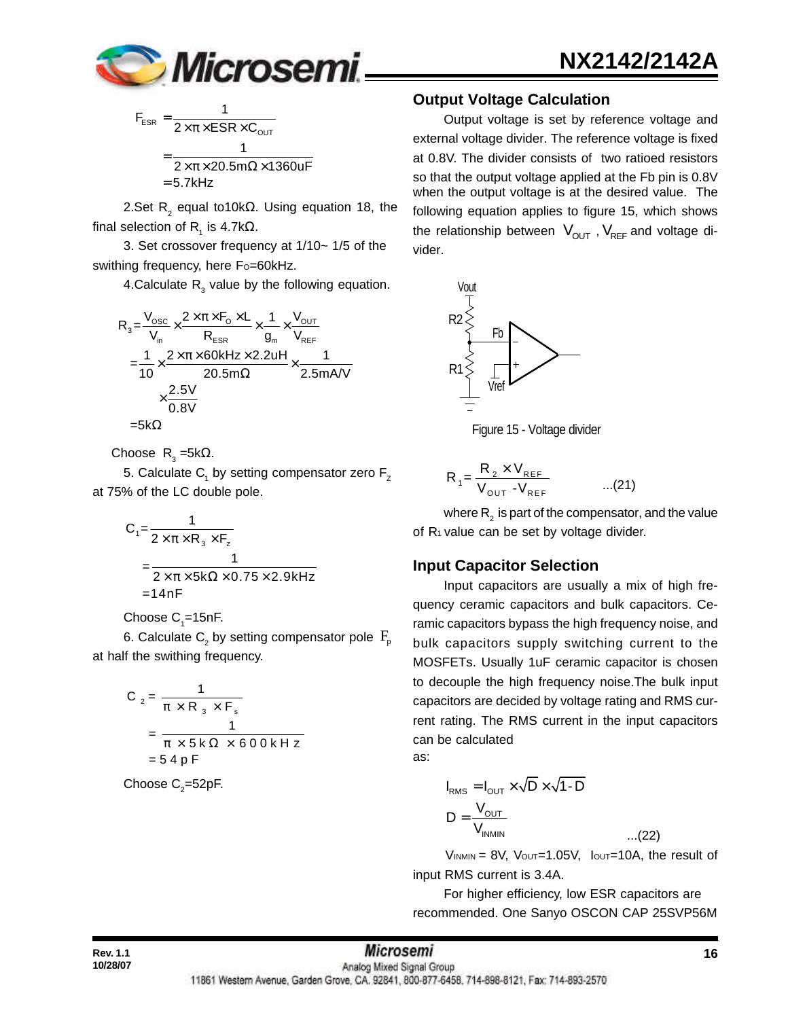

$$
F_{ESR} = \frac{1}{2 \times \pi \times ESR \times C_{OUT}}
$$

$$
= \frac{1}{2 \times \pi \times 20.5 m\Omega \times 1360 uF}
$$

$$
= 5.7 kHz
$$

2.Set R<sub>2</sub> equal to10kΩ. Using equation 18, the final selection of R<sub>1</sub> is 4.7kΩ.

3. Set crossover frequency at 1/10~ 1/5 of the swithing frequency, here Fo=60kHz.

4.Calculate  $R_{3}$  value by the following equation.

$$
R_{3} = \frac{V_{\text{osc}}}{V_{\text{in}}} \times \frac{2 \times \pi \times F_{\text{o}} \times L}{R_{\text{ESR}}} \times \frac{1}{g_{\text{in}}} \times \frac{V_{\text{OUT}}}{V_{\text{REF}}}
$$
\n
$$
= \frac{1}{10} \times \frac{2 \times \pi \times 60 \text{kHz} \times 2.2 \text{uH}}{20.5 \text{m}\Omega} \times \frac{1}{2.5 \text{mAVV}}
$$
\n
$$
\times \frac{2.5 \text{V}}{0.8 \text{V}}
$$
\n
$$
= 5 \text{k}\Omega
$$

Choose  $R_3 = 5kΩ$ .

5. Calculate  $\mathsf{C}_1^{}$  by setting compensator zero  $\mathsf{F}_\mathsf{z}^{}$ at 75% of the LC double pole.

$$
C_1 = \frac{1}{2 \times \pi \times R_3 \times F_2}
$$
  
= 
$$
\frac{1}{2 \times \pi \times 5k\Omega \times 0.75 \times 2.9kHz}
$$
  
= 14nF

#### Choose  $\mathrm{C}_i$ =15nF.

6. Calculate  $\mathsf{C}_\textsf{2}$  by setting compensator pole  $\,\mathrm{F}_\textsf{p}$ at half the swithing frequency.

$$
C_2 = \frac{1}{\pi \times R_3 \times F_s}
$$
  
= 
$$
\frac{1}{\pi \times 5 \times 0 \times 600 \times Hz}
$$
  
= 54 p F

Choose  $\textsf{C}_\textsf{2}^{\textsf{}}$ =52pF.

#### **Output Voltage Calculation**

Output voltage is set by reference voltage and external voltage divider. The reference voltage is fixed at 0.8V. The divider consists of two ratioed resistors so that the output voltage applied at the Fb pin is 0.8V when the output voltage is at the desired value. The following equation applies to figure 15, which shows the relationship between  $V_{\text{OUT}}$  ,  $V_{\text{REF}}$  and voltage divider.



Figure 15 - Voltage divider

$$
R_{1} = \frac{R_{2} \times V_{REF}}{V_{OUT} - V_{REF}} \qquad ...(21)
$$

where  $\mathsf{R}_{_2}$  is part of the compensator, and the value of  $R_1$  value can be set by voltage divider.

#### **Input Capacitor Selection**

Input capacitors are usually a mix of high frequency ceramic capacitors and bulk capacitors. Ceramic capacitors bypass the high frequency noise, and bulk capacitors supply switching current to the MOSFETs. Usually 1uF ceramic capacitor is chosen to decouple the high frequency noise.The bulk input capacitors are decided by voltage rating and RMS current rating. The RMS current in the input capacitors can be calculated as:

$$
I_{RMS} = I_{OUT} \times \sqrt{D} \times \sqrt{1 - D}
$$
  

$$
D = \frac{V_{OUT}}{V_{INMIN}}
$$
...(22)

 $V_{INMIN} = 8V$ ,  $V_{OUT} = 1.05V$ ,  $I_{OUT} = 10A$ , the result of input RMS current is 3.4A.

For higher efficiency, low ESR capacitors are recommended. One Sanyo OSCON CAP 25SVP56M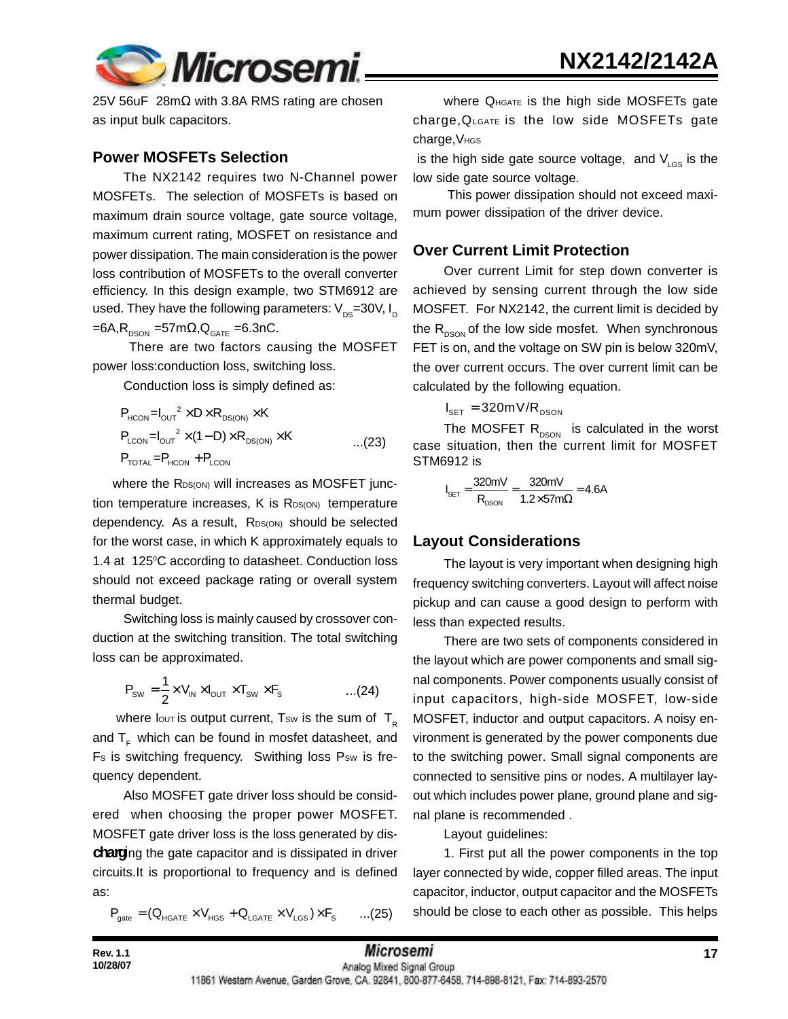



25V 56uF 28mΩ with 3.8A RMS rating are chosen as input bulk capacitors.

#### **Power MOSFETs Selection**

The NX2142 requires two N-Channel power MOSFETs. The selection of MOSFETs is based on maximum drain source voltage, gate source voltage, maximum current rating, MOSFET on resistance and power dissipation. The main consideration is the power loss contribution of MOSFETs to the overall converter efficiency. In this design example, two STM6912 are used. They have the following parameters:  $V_{\text{p}s}=30V, I_{\text{p}}$  $=6A$ , R<sub>DSON</sub>  $=57$ m $\Omega$ , Q<sub>GATE</sub>  $=6.3$ nC.

 There are two factors causing the MOSFET power loss:conduction loss, switching loss.

Conduction loss is simply defined as:

$$
P_{HCON} = I_{OUT}^2 \times D \times R_{DS(ON)} \times K
$$
  
\n
$$
P_{LCDN} = I_{OUT}^2 \times (1 - D) \times R_{DS(ON)} \times K
$$
...(23)  
\n
$$
P_{TOTAL} = P_{HCON} + P_{LCDN}
$$

where the RDS(ON) will increases as MOSFET junction temperature increases, K is RDS(ON) temperature dependency. As a result, RDS(ON) should be selected for the worst case, in which K approximately equals to 1.4 at 125°C according to datasheet. Conduction loss should not exceed package rating or overall system thermal budget.

Switching loss is mainly caused by crossover conduction at the switching transition. The total switching loss can be approximated.

$$
P_{\text{SW}} = \frac{1}{2} \times V_{\text{IN}} \times I_{\text{OUT}} \times T_{\text{SW}} \times F_{\text{s}} \quad \text{...(24)}
$$

where lout is output current, Tsw is the sum of  $T_R$ and  $T<sub>ε</sub>$  which can be found in mosfet datasheet, and Fs is switching frequency. Swithing loss Psw is frequency dependent.

Also MOSFET gate driver loss should be considered when choosing the proper power MOSFET. MOSFET gate driver loss is the loss generated by dis**charg**ing the gate capacitor and is dissipated in driver circuits.It is proportional to frequency and is defined as:

$$
P_{\text{gate}} = (Q_{\text{HGATE}} \times V_{\text{HGS}} + Q_{\text{LGATE}} \times V_{\text{LGS}}) \times F_{\text{s}} \qquad ...(25)
$$

Where QHGATE is the high side MOSFETs gate charge,QLGATE is the low side MOSFETs gate charge, V<sub>HGS</sub>

is the high side gate source voltage, and  $V_{\text{LGS}}$  is the low side gate source voltage.

 This power dissipation should not exceed maximum power dissipation of the driver device.

#### **Over Current Limit Protection**

Over current Limit for step down converter is achieved by sensing current through the low side MOSFET. For NX2142, the current limit is decided by the  $R_{DSON}$  of the low side mosfet. When synchronous FET is on, and the voltage on SW pin is below 320mV, the over current occurs. The over current limit can be calculated by the following equation.

 $I_{\text{SET}} = 320 \text{mV/R}_{\text{DSON}}$ 

The MOSFET  $R_{DSON}$  is calculated in the worst case situation, then the current limit for MOSFET STM6912 is

$$
I_{\text{SET}} = \frac{320 \text{mV}}{R_{\text{DSON}}} = \frac{320 \text{mV}}{1.2 \times 57 \text{m}\Omega} = 4.6 \text{A}
$$

#### **Layout Considerations**

The layout is very important when designing high frequency switching converters. Layout will affect noise pickup and can cause a good design to perform with less than expected results.

There are two sets of components considered in the layout which are power components and small signal components. Power components usually consist of input capacitors, high-side MOSFET, low-side MOSFET, inductor and output capacitors. A noisy environment is generated by the power components due to the switching power. Small signal components are connected to sensitive pins or nodes. A multilayer layout which includes power plane, ground plane and signal plane is recommended .

Layout guidelines:

1. First put all the power components in the top layer connected by wide, copper filled areas. The input capacitor, inductor, output capacitor and the MOSFETs should be close to each other as possible. This helps